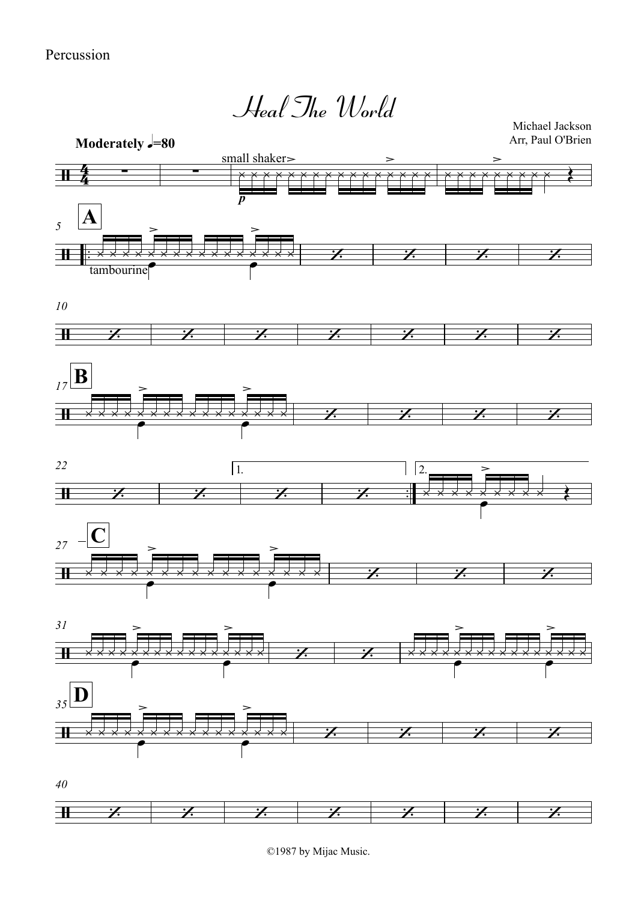

Michael Jackson Arr, Paul O'Brien













 $40$ 



©1987 by Mijac Music.